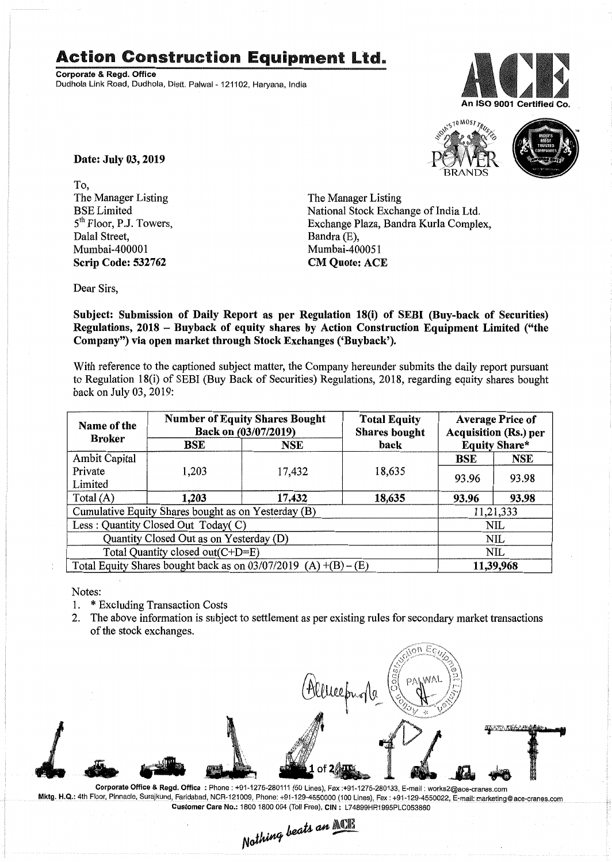## Action Construction Equipment Ltd..

Corporate & Regd. Office Dudhola Link Road, Dudhola, Distt. Palwal- 121102, Haryana, India





Date: July 03, 2019

To, The Manager Listing BSE Limited 5<sup>th</sup> Floor, P.J. Towers, Dalal Street, Mumbai-400001 Scrip Code: 532762

The Manager Listing National Stock Exchange of India Ltd. Exchange Plaza, Bandra Kurla Complex, Bandra (E), Mumbai-400051 CM Quote: ACE

Dear Sirs,

Subject: Submission of Daily Report as per Regulation 18(i) of SEBI (Buy-back of Securities) Regulations, 2018 - Buyback of equity shares by Action Construction Equipment Limited ("the Company") via open market through Stock Exchanges ('Buyback').

With reference to the captioned subject matter, the Company hereunder submits the daily report pursuant to Regulation 18(i) of SEBI (Buy Back of Securities) Regulations, 2018, regarding equity shares bought back on July 03, 2019:

| Name of the<br><b>Broker</b>                                      | <b>Number of Equity Shares Bought</b><br>Back on (03/07/2019) |        | <b>Total Equity</b><br><b>Shares</b> bought | <b>Average Price of</b><br><b>Acquisition (Rs.) per</b> |            |  |
|-------------------------------------------------------------------|---------------------------------------------------------------|--------|---------------------------------------------|---------------------------------------------------------|------------|--|
|                                                                   | BSE                                                           | NSE    | back                                        | <b>Equity Share*</b>                                    |            |  |
| Ambit Capital                                                     |                                                               |        |                                             | <b>BSE</b>                                              | <b>NSE</b> |  |
| Private                                                           | 1,203                                                         | 17,432 | 18,635                                      | 93.96                                                   | 93.98      |  |
| Limited                                                           |                                                               |        |                                             |                                                         |            |  |
| Total $(A)$                                                       | 1,203                                                         | 17,432 | 18,635                                      | 93.96                                                   | 93.98      |  |
| Cumulative Equity Shares bought as on Yesterday (B)               |                                                               |        |                                             |                                                         | 11,21,333  |  |
| Less: Quantity Closed Out Today(C)                                |                                                               |        |                                             | NIL                                                     |            |  |
| Quantity Closed Out as on Yesterday (D)                           |                                                               |        |                                             |                                                         | NIL        |  |
| Total Quantity closed out(C+D=E)                                  |                                                               |        |                                             |                                                         | NIL        |  |
| Total Equity Shares bought back as on $03/07/2019$ (A) +(B) – (E) |                                                               |        |                                             | 11,39,968                                               |            |  |

Notes:

- 1. \* Excluding Transaction Costs
- 2. The above information is subject to settlement as per existing rules for secondary market transactions of the stock exchanges.



Corporate Office & Regd. Office: Phone: +91-1275-280111(50 Lines), Fax:+91-1275-280133, E-mail: works2@ace-cranes.com Mktg. H.Q.: 4th Floor, Pinnacle, Surajkund, Faridabad, NCR-121009, Phone: +91-129-4550000 (100 Lines), Fax: +91-129-4550022, E-mail: marketing@ace-cranes.com

Customer Care No.: 1800 1800 004 (Toll Free), CIN: L74899HR1995PLC053860<br>Nathing beats an **Mathi**